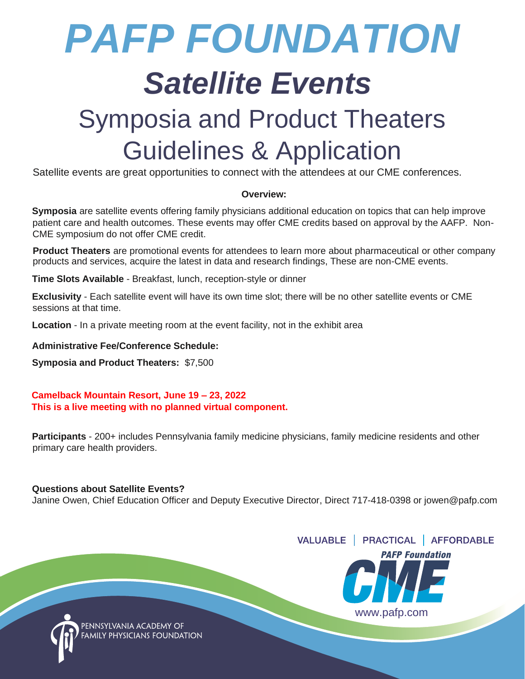# *PAFP FOUNDATION*

## *Satellite Events*

### Symposia and Product Theaters Guidelines & Application

Satellite events are great opportunities to connect with the attendees at our CME conferences.

#### **Overview:**

**Symposia** are satellite events offering family physicians additional education on topics that can help improve patient care and health outcomes. These events may offer CME credits based on approval by the AAFP. Non-CME symposium do not offer CME credit.

**Product Theaters** are promotional events for attendees to learn more about pharmaceutical or other company products and services, acquire the latest in data and research findings, These are non-CME events.

**Time Slots Available** - Breakfast, lunch, reception-style or dinner

**Exclusivity** - Each satellite event will have its own time slot; there will be no other satellite events or CME sessions at that time.

**Location** - In a private meeting room at the event facility, not in the exhibit area

**Administrative Fee/Conference Schedule:**

**Symposia and Product Theaters:** \$7,500

 **Camelback Mountain Resort, June 19 – 23, 2022 This is a live meeting with no planned virtual component.**

**Participants** - 200+ includes Pennsylvania family medicine physicians, family medicine residents and other primary care health providers.

#### **Questions about Satellite Events?**

Janine Owen, Chief Education Officer and Deputy Executive Director, Direct 717-418-0398 or jowen@pafp.com



ENNSYLVANIA ACADI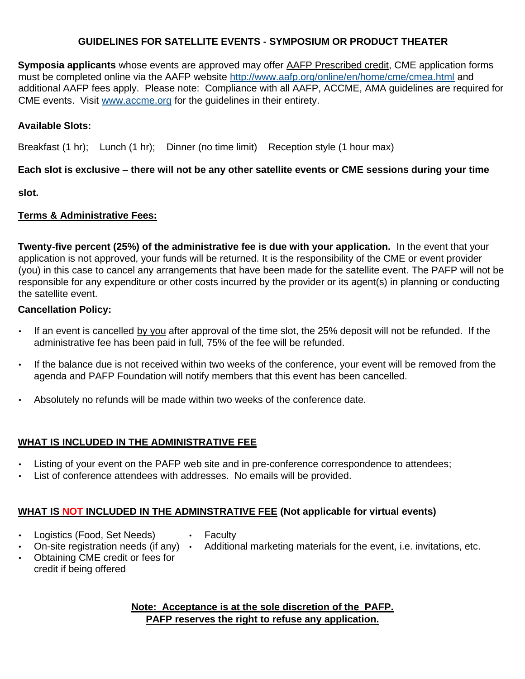#### **GUIDELINES FOR SATELLITE EVENTS - SYMPOSIUM OR PRODUCT THEATER**

**Symposia applicants** whose events are approved may offe[r](http://www.aafp.org/content/en/home/cme/cmea/cmerequirements/prescribedcredit.html) [AAFP Prescribed credit,](http://www.aafp.org/content/en/home/cme/cmea/cmerequirements/prescribedcredit.html) CME application forms must be completed online via the AAFP website<http://www.aafp.org/online/en/home/cme/cmea.html> [a](http://www.aafp.org/online/en/home/cme/cmea.html)nd additional AAFP fees apply. Please note: Compliance with all AAFP, ACCME, AMA guidelines are required for CME events. Visit [www.accme.org](http://www.accme.org/) [f](http://www.accme.org/)or the guidelines in their entirety.

#### **Available Slots:**

Breakfast (1 hr); Lunch (1 hr); Dinner (no time limit) Reception style (1 hour max)

#### **Each slot is exclusive – there will not be any other satellite events or CME sessions during your time**

**slot.** 

#### **Terms & Administrative Fees:**

**Twenty-five percent (25%) of the administrative fee is due with your application.** In the event that your application is not approved, your funds will be returned. It is the responsibility of the CME or event provider (you) in this case to cancel any arrangements that have been made for the satellite event. The PAFP will not be responsible for any expenditure or other costs incurred by the provider or its agent(s) in planning or conducting the satellite event.

#### **Cancellation Policy:**

- If an event is cancelled by you after approval of the time slot, the 25% deposit will not be refunded. If the administrative fee has been paid in full, 75% of the fee will be refunded.
- If the balance due is not received within two weeks of the conference, your event will be removed from the agenda and PAFP Foundation will notify members that this event has been cancelled.
- Absolutely no refunds will be made within two weeks of the conference date.

#### **WHAT IS INCLUDED IN THE ADMINISTRATIVE FEE**

- Listing of your event on the PAFP web site and in pre-conference correspondence to attendees;
- List of conference attendees with addresses. No emails will be provided.

#### **WHAT IS NOT INCLUDED IN THE ADMINSTRATIVE FEE (Not applicable for virtual events)**

- Logistics (Food, Set Needs) On-site registration needs (if any)  $\cdot$
- Faculty
	- Additional marketing materials for the event, i.e. invitations, etc.
- Obtaining CME credit or fees for credit if being offered

#### **Note: Acceptance is at the sole discretion of the PAFP. PAFP reserves the right to refuse any application.**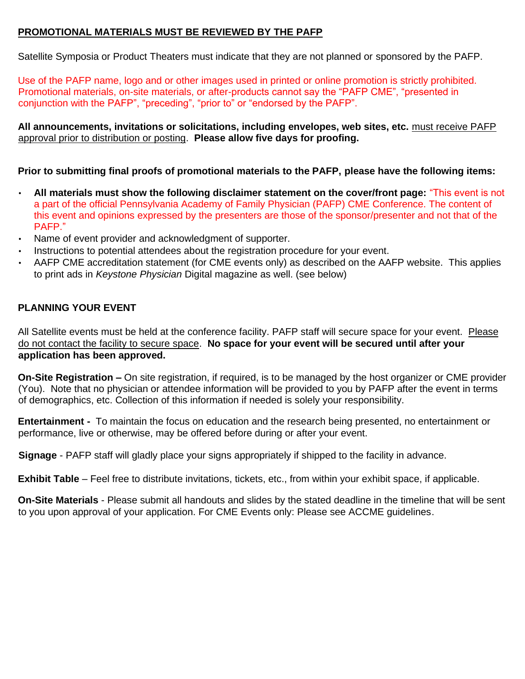#### **PROMOTIONAL MATERIALS MUST BE REVIEWED BY THE PAFP**

Satellite Symposia or Product Theaters must indicate that they are not planned or sponsored by the PAFP.

Use of the PAFP name, logo and or other images used in printed or online promotion is strictly prohibited. Promotional materials, on-site materials, or after-products cannot say the "PAFP CME", "presented in conjunction with the PAFP", "preceding", "prior to" or "endorsed by the PAFP".

**All announcements, invitations or solicitations, including envelopes, web sites, etc.** must receive PAFP approval prior to distribution or posting. **Please allow five days for proofing.** 

#### **Prior to submitting final proofs of promotional materials to the PAFP, please have the following items:**

- **All materials must show the following disclaimer statement on the cover/front page:** "This event is not a part of the official Pennsylvania Academy of Family Physician (PAFP) CME Conference. The content of this event and opinions expressed by the presenters are those of the sponsor/presenter and not that of the PAFP."
- Name of event provider and acknowledgment of supporter.
- Instructions to potential attendees about the registration procedure for your event.
- AAFP CME accreditation statement (for CME events only) as described on the AAFP website. This applies to print ads in *Keystone Physician* Digital magazine as well. (see below)

#### **PLANNING YOUR EVENT**

All Satellite events must be held at the conference facility. PAFP staff will secure space for your event. Please do not contact the facility to secure space. **No space for your event will be secured until after your application has been approved.** 

**On-Site Registration –** On site registration, if required, is to be managed by the host organizer or CME provider (You). Note that no physician or attendee information will be provided to you by PAFP after the event in terms of demographics, etc. Collection of this information if needed is solely your responsibility.

**Entertainment -** To maintain the focus on education and the research being presented, no entertainment or performance, live or otherwise, may be offered before during or after your event.

**Signage** - PAFP staff will gladly place your signs appropriately if shipped to the facility in advance.

**Exhibit Table** – Feel free to distribute invitations, tickets, etc., from within your exhibit space, if applicable.

**On-Site Materials** - Please submit all handouts and slides by the stated deadline in the timeline that will be sent to you upon approval of your application. For CME Events only: Please see ACCME guidelines.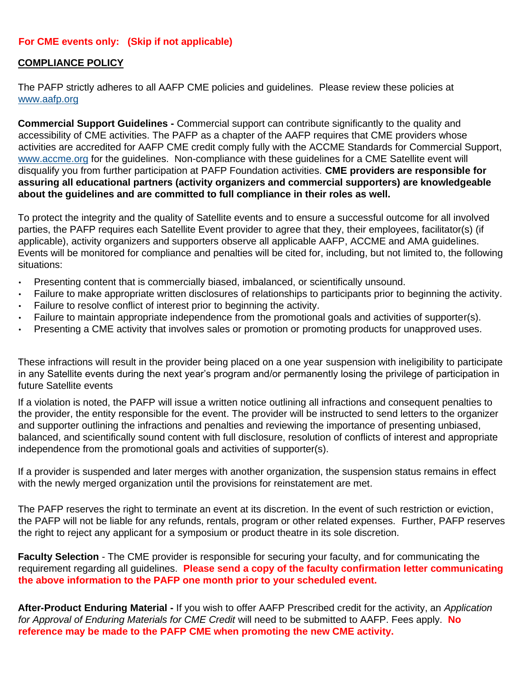#### **For CME events only: (Skip if not applicable)**

#### **COMPLIANCE POLICY**

The PAFP strictly adheres to all AAFP CME policies and guidelines. Please review these policies at [www.aafp.org](http://www.aafp.org/)

**Commercial Support Guidelines -** Commercial support can contribute significantly to the quality and accessibility of CME activities. The PAFP as a chapter of the AAFP requires that CME providers whose activities are accredited for AAFP CME credit comply fully with the ACCME Standards for Commercial Support, www.accme.org for the guidelines. Non-compliance with these guidelines for a CME Satellite event will disqualify you from further participation at PAFP Foundation activities. **CME providers are responsible for assuring all educational partners (activity organizers and commercial supporters) are knowledgeable about the guidelines and are committed to full compliance in their roles as well.** 

To protect the integrity and the quality of Satellite events and to ensure a successful outcome for all involved parties, the PAFP requires each Satellite Event provider to agree that they, their employees, facilitator(s) (if applicable), activity organizers and supporters observe all applicable AAFP, ACCME and AMA guidelines. Events will be monitored for compliance and penalties will be cited for, including, but not limited to, the following situations:

- Presenting content that is commercially biased, imbalanced, or scientifically unsound.
- Failure to make appropriate written disclosures of relationships to participants prior to beginning the activity.
- Failure to resolve conflict of interest prior to beginning the activity.
- Failure to maintain appropriate independence from the promotional goals and activities of supporter(s).
- Presenting a CME activity that involves sales or promotion or promoting products for unapproved uses.

These infractions will result in the provider being placed on a one year suspension with ineligibility to participate in any Satellite events during the next year's program and/or permanently losing the privilege of participation in future Satellite events

If a violation is noted, the PAFP will issue a written notice outlining all infractions and consequent penalties to the provider, the entity responsible for the event. The provider will be instructed to send letters to the organizer and supporter outlining the infractions and penalties and reviewing the importance of presenting unbiased, balanced, and scientifically sound content with full disclosure, resolution of conflicts of interest and appropriate independence from the promotional goals and activities of supporter(s).

If a provider is suspended and later merges with another organization, the suspension status remains in effect with the newly merged organization until the provisions for reinstatement are met.

The PAFP reserves the right to terminate an event at its discretion. In the event of such restriction or eviction, the PAFP will not be liable for any refunds, rentals, program or other related expenses. Further, PAFP reserves the right to reject any applicant for a symposium or product theatre in its sole discretion.

**Faculty Selection** - The CME provider is responsible for securing your faculty, and for communicating the requirement regarding all guidelines. **Please send a copy of the faculty confirmation letter communicating the above information to the PAFP one month prior to your scheduled event.** 

**After-Product Enduring Material -** If you wish to offer AAFP Prescribed credit for the activity, an *Application for Approval of Enduring Materials for CME Credit* will need to be submitted to AAFP. Fees apply. **No reference may be made to the PAFP CME when promoting the new CME activity.**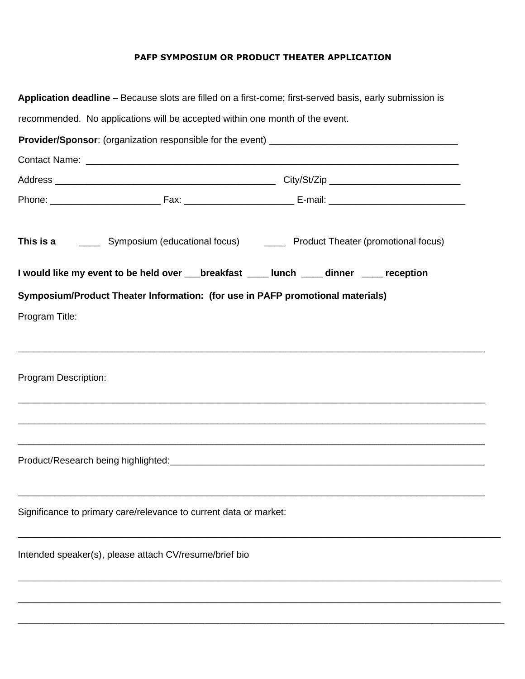#### **PAFP SYMPOSIUM OR PRODUCT THEATER APPLICATION**

|                      |                                                                                          | Application deadline – Because slots are filled on a first-come; first-served basis, early submission is |
|----------------------|------------------------------------------------------------------------------------------|----------------------------------------------------------------------------------------------------------|
|                      | recommended. No applications will be accepted within one month of the event.             |                                                                                                          |
|                      |                                                                                          |                                                                                                          |
|                      |                                                                                          |                                                                                                          |
|                      |                                                                                          |                                                                                                          |
|                      |                                                                                          |                                                                                                          |
|                      |                                                                                          | This is a ________ Symposium (educational focus) _________ Product Theater (promotional focus)           |
|                      | I would like my event to be held over ___breakfast ____ lunch ____ dinner ____ reception |                                                                                                          |
|                      | Symposium/Product Theater Information: (for use in PAFP promotional materials)           |                                                                                                          |
| Program Title:       |                                                                                          |                                                                                                          |
|                      |                                                                                          |                                                                                                          |
|                      |                                                                                          |                                                                                                          |
| Program Description: |                                                                                          |                                                                                                          |
|                      |                                                                                          | ,我们也不能在这里的人,我们也不能在这里的人,我们也不能在这里的人,我们也不能在这里的人,我们也不能在这里的人,我们也不能在这里的人,我们也不能在这里的人,我们也                        |
|                      |                                                                                          | ,我们也不能在这里的人,我们也不能在这里的人,我们也不能在这里的人,我们也不能在这里的人,我们也不能在这里的人,我们也不能在这里的人,我们也不能在这里的人,我们也                        |
|                      |                                                                                          |                                                                                                          |
|                      |                                                                                          |                                                                                                          |
|                      |                                                                                          |                                                                                                          |
|                      |                                                                                          |                                                                                                          |
|                      | Significance to primary care/relevance to current data or market:                        |                                                                                                          |
|                      |                                                                                          |                                                                                                          |
|                      | Intended speaker(s), please attach CV/resume/brief bio                                   |                                                                                                          |
|                      |                                                                                          |                                                                                                          |
|                      |                                                                                          |                                                                                                          |
|                      |                                                                                          |                                                                                                          |